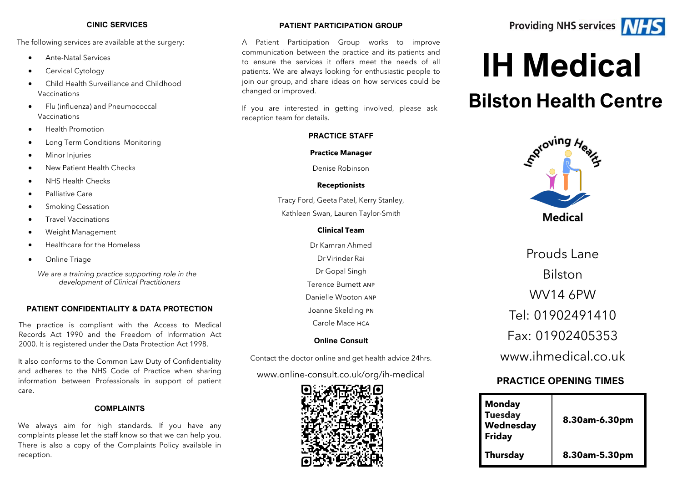#### **CINIC SERVICES**

The following services are available at the surgery:

- Ante-Natal Services
- Cervical Cytology
- • Child Health Surveillance and Childhood Vaccinations
- Flu (influenza) and Pneumococcal Vaccinations
- Health Promotion
- Long Term Conditions Monitoring
- **Minor Injuries**
- New Patient Health Checks
- NHS Health Checks
- Palliative Care
- **Smoking Cessation**
- Travel Vaccinations
- Weight Management
- Healthcare for the Homeless
- Online Triage

 *We are a training practice supporting role in the development of Clinical Practitioners*

#### **PATIENT CONFIDENTIALITY & DATA PROTECTION**

 The practice is compliant with the Access to Medical Records Act 1990 and the Freedom of Information Act 2000. It is registered under the Data Protection Act 1998.

 It also conforms to the Common Law Duty of Confidentiality information between Professionals in support of patient and adheres to the NHS Code of Practice when sharing care.

#### **COMPLAINTS**

 We always aim for high standards. If you have any complaints please let the staff know so that we can help you. There is also a copy of the Complaints Policy available in reception.

#### **PATIENT PARTICIPATION GROUP**

 A Patient Participation Group works to improve communication between the practice and its patients and patients. We are always looking for enthusiastic people to join our group, and share ideas on how services could be to ensure the services it offers meet the needs of all changed or improved.

 If you are interested in getting involved, please ask reception team for details.

#### **PRACTICE STAFF**

#### **Practice Manager**

Denise Robinson

#### **Receptionists**

 Tracy Ford, Geeta Patel, Kerry Stanley, Kathleen Swan, Lauren Taylor-Smith

#### **Clinical Team**

 Terence Burnett anp Danielle Wooton anp Dr Kamran Ahmed Dr Virinder Rai Dr Gopal Singh Joanne Skelding pn Carole Mace hca

#### **Online Consult**

Contact the doctor online and get health advice 24hrs.

### www.online-[consult.co.uk/org/ih](www.online-consult.co.uk/org/ih-medical)-medical



# **Providing NHS services /////**



# **IH Medical**

# **Bilston Health Centre**



Prouds Lane Bilston WV14 6PW Tel: 01902491410 Fax: 01902405353 www.jhmedical.co.uk

## **PRACTICE OPENING TIMES**

| <b>Monday</b><br><b>Tuesday</b><br>Wednesday<br><b>Friday</b> | 8.30am-6.30pm |
|---------------------------------------------------------------|---------------|
| <b>Thursday</b>                                               | 8.30am-5.30pm |